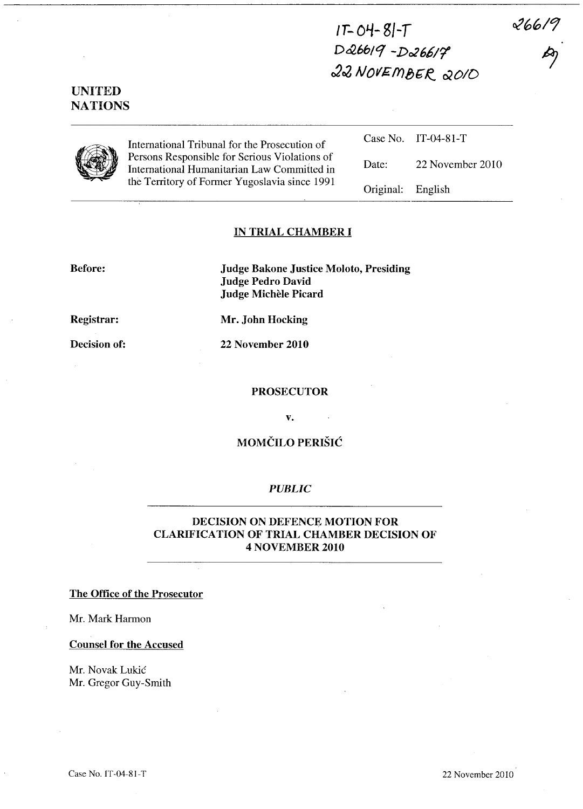$266/9$ 

# $IT- O4-SI-T$ *D&6611 -D02661't*  22 NOVEMBER 2010

# UNITED **NATIONS**



International Tribunal for the Prosecution of Persons Responsible for Serious Violations of International Humanitarian Law Committed in the Territory of Former Yugoslavia since 1991

Case No. IT-04-81-T Date: 22 November 2010 Original: English

## IN TRIAL CHAMBER I

Before:

Judge Bakone Justice Moloto, Presiding Judge Pedro David Judge Michele Picard

Registrar:

Mr. John Hocking

Decision of:

22 November 2010

#### PROSECUTOR

v.

# MOMČILO PERIŠIĆ

#### *PUBLIC*

## DECISION ON DEFENCE MOTION FOR CLARIFICATION OF TRIAL CHAMBER DECISION OF 4 NOVEMBER 2010

### The Office of the Prosecutor

Mr. Mark Harmon

#### Counsel for the Accused

Mr. Novak Lukic Mr. Gregor Guy-Smith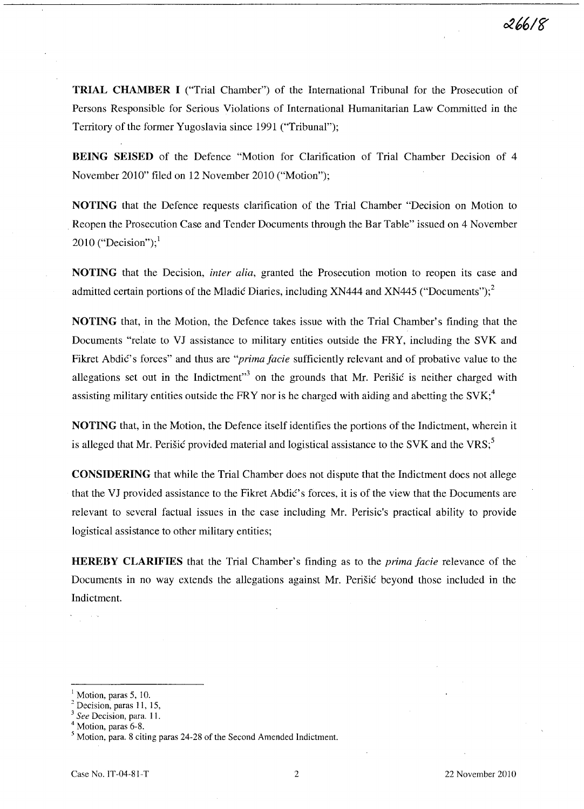TRIAL CHAMBER I ("Trial Chamber") of the International Tribunal for the Prosecution of Persons Responsible for Serious Violations of International Humanitarian Law Committed in the Territory of the former Yugoslavia since 1991 ("Tribunal");

BEING SEISED of the Defence "Motion for Clarification of Trial Chamber Decision of 4 November 2010" filed on 12 November 2010 ("Motion");

NOTING that the Defence requests clarification of the Trial Chamber "Decision on Motion to Reopen the Prosecution Case and Tender Documents through the Bar Table" issued on 4 November 2010 ("Decision");<sup>1</sup>

NOTING that the Decision, *inter alia,* granted the Prosecution motion to reopen its case and admitted certain portions of the Mladić Diaries, including XN444 and XN445 ("Documents");<sup>2</sup>

NOTING that, in the Motion, the Defence takes issue with the Trial Chamber's finding that the Documents "relate to VJ assistance to military entities outside the FRY, including the SVK and Fikret Abdic's forces" and thus are *"prima facie* sufficiently relevant and of probative value to the allegations set out in the Indictment<sup> $3$ </sup> on the grounds that Mr. Perisic is neither charged with assisting military entities outside the FRY nor is he charged with aiding and abetting the  $SVK<sub>i</sub><sup>4</sup>$ 

NOTING that, in the Motion, the Defence itself identifies the portions of the Indictment, wherein it is alleged that Mr. Perišić provided material and logistical assistance to the SVK and the VRS; $\degree$ 

CONSIDERING that while the Trial Chamber does not dispute that the Indictment does not allege that the VJ provided assistance to the Fikret Abdic's forces, it is of the view that the Documents are relevant to several factual issues in the case including Mr. Perisic's practical ability to provide logistical assistance to other military entities;

HEREBY CLARIFIES that the Trial Chamber's finding as to the *prima facie* relevance of the Documents in no way extends the allegations against Mr. Perisic beyond those included in the Indictment.

Motion, paras 5, 10.

<sup>&</sup>lt;sup>2</sup> Decision, paras 11, 15,

*<sup>3</sup> See* Decision, para. I I.

<sup>&</sup>lt;sup>4</sup> Motion, paras 6-8.

<sup>5</sup> Motion, para. 8 citing paras 24-28 of the Second Amended Indictment.